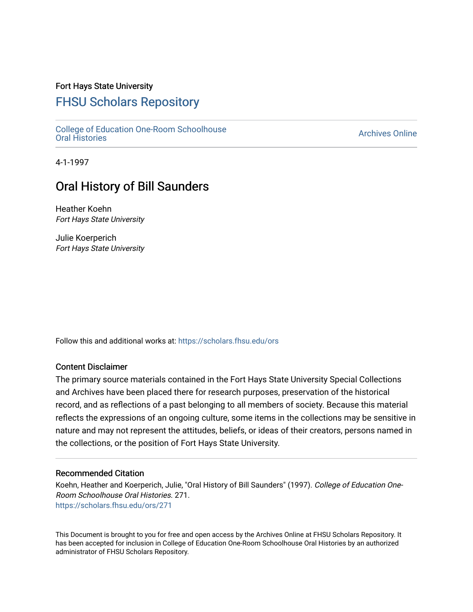### Fort Hays State University

## [FHSU Scholars Repository](https://scholars.fhsu.edu/)

[College of Education One-Room Schoolhouse](https://scholars.fhsu.edu/ors)<br>Oral Histories College of Education Orle-Room Schoolhouse<br>[Oral Histories](https://scholars.fhsu.edu/ors) Archives Online

4-1-1997

# Oral History of Bill Saunders

Heather Koehn Fort Hays State University

Julie Koerperich Fort Hays State University

Follow this and additional works at: [https://scholars.fhsu.edu/ors](https://scholars.fhsu.edu/ors?utm_source=scholars.fhsu.edu%2Fors%2F271&utm_medium=PDF&utm_campaign=PDFCoverPages) 

#### Content Disclaimer

The primary source materials contained in the Fort Hays State University Special Collections and Archives have been placed there for research purposes, preservation of the historical record, and as reflections of a past belonging to all members of society. Because this material reflects the expressions of an ongoing culture, some items in the collections may be sensitive in nature and may not represent the attitudes, beliefs, or ideas of their creators, persons named in the collections, or the position of Fort Hays State University.

#### Recommended Citation

Koehn, Heather and Koerperich, Julie, "Oral History of Bill Saunders" (1997). College of Education One-Room Schoolhouse Oral Histories. 271. [https://scholars.fhsu.edu/ors/271](https://scholars.fhsu.edu/ors/271?utm_source=scholars.fhsu.edu%2Fors%2F271&utm_medium=PDF&utm_campaign=PDFCoverPages) 

This Document is brought to you for free and open access by the Archives Online at FHSU Scholars Repository. It has been accepted for inclusion in College of Education One-Room Schoolhouse Oral Histories by an authorized administrator of FHSU Scholars Repository.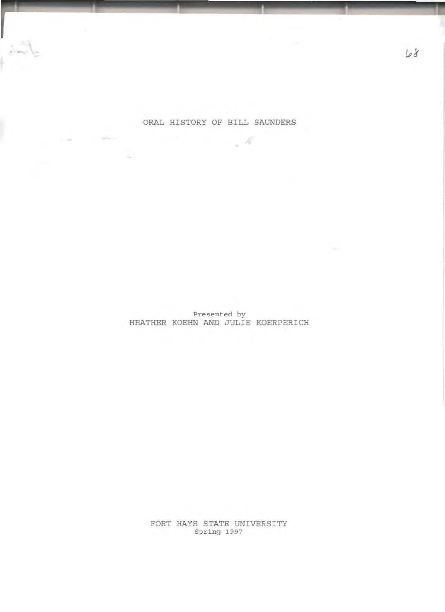### ORAL HISTORY OF BILL SAUNDERS

 $\label{eq:2.1} \mathcal{M}(\mathcal{M})=\mathcal{M}(\mathcal{M})=\mathcal{M}(\mathcal{M})$ 

..

Presented by HEATHER KOEHN AND JULIE KOERPERICH

> FORT HAYS STATE UNIVERSITY Spring 1997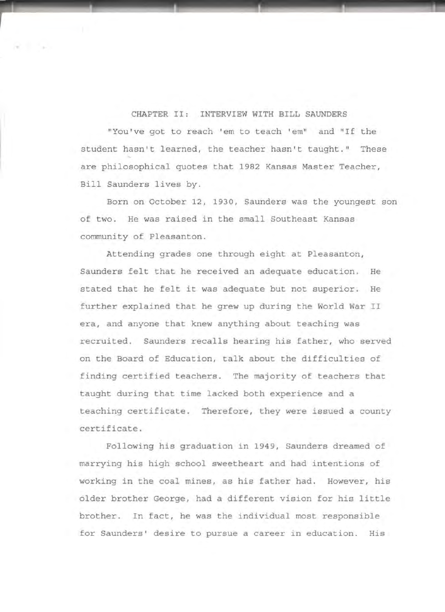CHAPTER II: INTERVIEW WITH BILL SAUNDERS

"You 've got to reach ' em to teach ' em" and " If the student hasn't learned, the teacher hasn't taught." These are philosophical quotes that 1982 Kansas Master Teacher, Bill Saunders lives by .

Born on October 12, 1930, Saunders was the youngest son of two. He was raised in the small Southeast Kansas community of Pleasanton.

Attending grades one through eight at Pleasanton, Saunders felt that he received an adequate education. He stated that he felt it was adequate but not superior. He further explained that he grew up during the World War II era, and anyone that knew anything about teaching was recruited. Saunders recalls hearing his father, who served on the Board of Education, talk about the difficulties of finding certified teachers. The majority of teachers that taught during that time lacked both experience and a teaching certificate. Therefore, they were issued a county certificate .

Following his graduation in 1949, Saunders dreamed of marrying his high school sweetheart and had intentions of working in the coal mines, as his father had. However, his older brother George, had a different vision for his little brother. In fact, he was the individual most responsible for Saunders' desire to pursue a career in education. His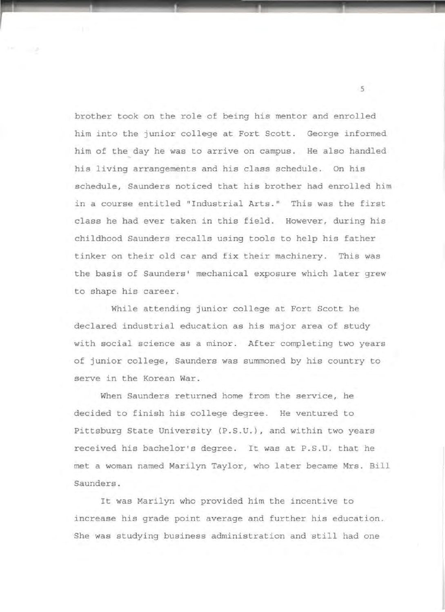brother took on the role of being his mentor and enrolled him into the junior college at Fort Scott. George informed him of the day he was to arrive on campus. He also handled his living arrangements and his class schedule. On his schedule, Saunders noticed that his brother had enrolled him in a course entitled "Industrial Arts." This was the first class he had ever taken in this field. However, during his childhood Saunders recalls using tools to help his father tinker on their old car and fix their machinery. This was the basis of Saunders• mechanical exposure which later grew to shape his career.

While attending junior college at Fort Scott he declared industrial education as his major area of study with social science as a minor. After completing two years of junior college, Saunders was summoned by his country to serve in the Korean War.

When Saunders returned home from the service, he decided to finish his college degree. He ventured to Pittsburg State University (P.S.U.), and within two years received his bachelor's degree. It was at P.S.U. that he met a woman named Marilyn Taylor, who later became Mrs. Bill Saunders.

It was Marilyn who provided him the incentive to increase his grade point average and further his education. She was studying business administration and still had one

. 5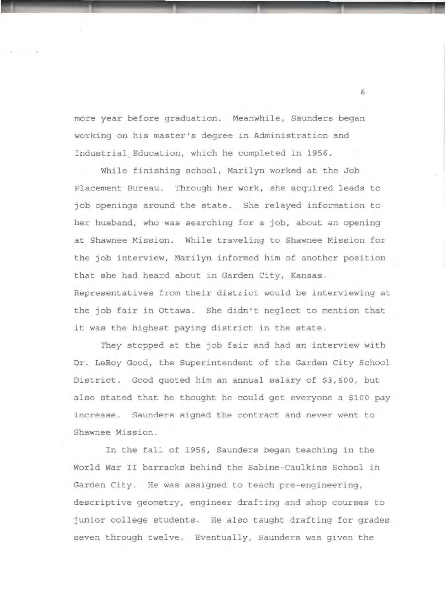more year before graduation. Meanwhile, Saunders began working on his master's degree in Administration and Industrial Education, which he completed in 1956.

While finishing school, Marilyn worked at the Job Placement Bureau. Through her work, she acquired leads to job openings around the state. She relayed information to her husband, who was searching for a job, about an opening at Shawnee Mission. While traveling to Shawnee Mission for the job interview, Marilyn informed him of another position that she had heard about in Garden City, Kansas. Representatives from their district would be interviewing at the job fair in Ottawa. She didn't neglect to mention that it was the highest paying district in the state.

They stopped at the job fair and had an interview with Dr. LeRoy Good, the Superintendent of the Garden City School District. Good quoted him an annual salary of \$3,600, but also stated that he thought he could get everyone a \$100 pay increase. Saunders signed the contract and never went to Shawnee Mission.

In the fall of 1956, Saunders began teaching in the World War II barracks behind the Sabine-Caulkins School in Garden City. He was assigned to teach pre-engineering, descriptive geometry, engineer drafting and shop courses to junior college students. He also taught drafting for grades seven through twelve. Eventually, Saunders was given the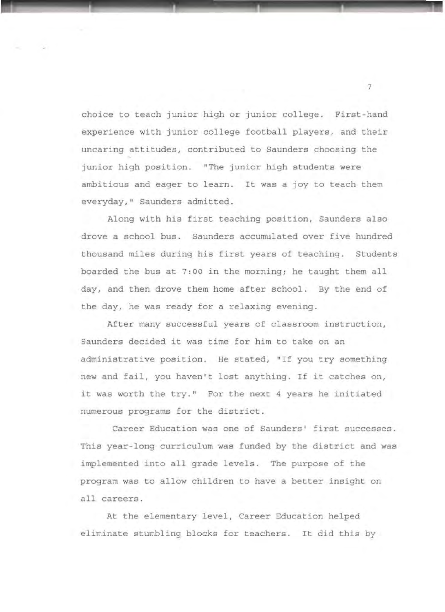choice to teach junior high or junior college. First-hand experience with junior college football players, and their uncaring attitudes, contributed to Saunders choosing the junior high position. "The junior high students were ambitious and eager to learn. It was a joy to teach them everyday," Saunders admitted.

·-----------·------------·---

Along with his first teaching position, Saunders also drove a school bus. Saunders accumulated over five hundred thousand miles during his first years of teaching. Students boarded the bus at 7:00 in the morning; he taught them all day, and then drove them home after school. By the end of the day, he was ready for a relaxing evening.

After many successful years of classroom instruction, Saunders decided it was time for him to take on an administrative position. He stated, "If you try something new and fail, you haven't lost anything. If it catches on, it was worth the try." For the next 4 years he initiated numerous programs for the district.

Career Education was one of Saunders' first successes. This year-long curriculum was funded by the district and was implemented into all grade levels. The purpose of the program was to allow children to have a better insight on all careers.

At the elementary level, Career Education helped eliminate stumbling blocks for teachers. It did this by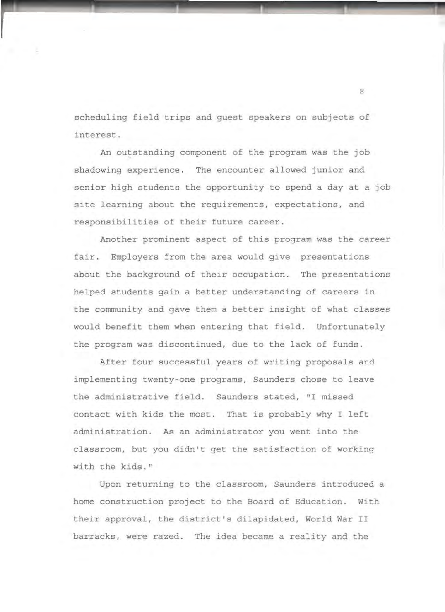scheduling field trips and guest speakers on subjects of interest.

An outstanding component of the program was the job shadowing experience. The encounter allowed junior and senior high students the opportunity to spend a day at a job site learning about the requirements, expectations, and responsibilities of their future career.

Another prominent aspect of this program was the career fair. Employers from the area would give presentations about the background of their occupation. The presentations helped students gain a better understanding of careers in the community and gave them a better insight of what classes would benefit them when entering that field. Unfortunately the program was discontinued, due to the lack of funds .

After four successful years of writing proposals and implementing twenty-one programs, Saunders chose to leave the administrative field. Saunders stated, "I missed contact with kids the most. That is probably why I left administration. As an administrator you went into the classroom, but you didn't get the satisfaction of working with the kids."

Upon returning to the classroom, Saunders introduced a home construction project to the Board of Education. With their approval, the district's dilapidated, World War II barracks, were razed. The idea became a reality and the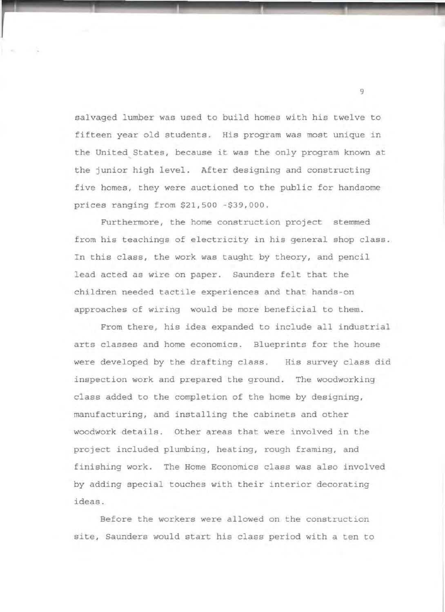salvaged lumber was used to build homes with his twelve to fifteen year old students. His program was most unique in the United States, because it was the only program known at the junior high level. After designing and constructing five homes, they were auctioned to the public for handsome prices ranging from \$21,500 -\$39 ,000 .

Furthermore, the home construction project stemmed from his teachings of electricity in his general shop class. In this class, the work was taught by theory, and pencil lead acted as wire on paper. Saunders felt that the children needed tactile experiences and that hands-on approaches of wiring would be more beneficial to them.

From there, his idea expanded to include all industrial arts classes and home economics. Blueprints for the house were developed by the drafting class. His survey class did inspection work and prepared the ground. The woodworking class added to the completion of the home by designing, manufacturing, and installing the cabinets and other woodwork details. Other areas that were involved in the project included plumbing, heating, rough framing, and finishing work. The Home Economics class was also involved by adding special touches with their interior decorating ideas.

Before the workers were allowed on the construction site, Saunders would start his class period with a ten to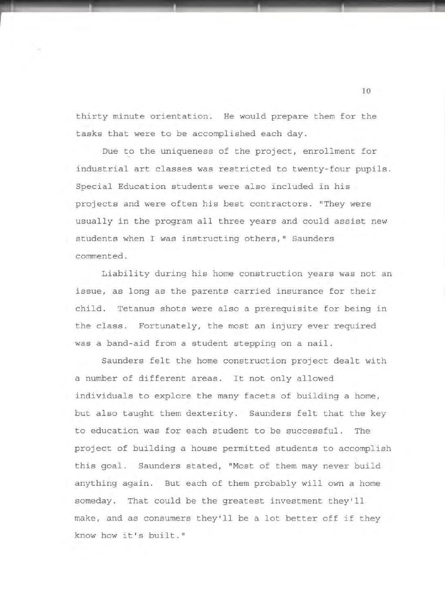thirty minute orientation. He would prepare them for the tasks that were to be accomplished each day.

Due to the uniqueness of the project, enrollment for industrial art classes was restricted to twenty-four pupils. Special Education students were also included in his projects and were often his best contractors. "They were usually in the program all three years and could assist new students when I was instructing others," Saunders commented.

Liability during his home construction years was not an issue, as long as the parents carried insurance for their child. Tetanus shots were also a prerequisite for being in the class. Fortunately, the most an injury ever required was a band-aid from a student stepping on a nail .

Saunders felt the home construction project dealt with a number of different areas. It not only allowed individuals to explore the many facets of building a home, but also taught them dexterity. Saunders felt that the key to education was for each student to be successful. The project of building a house permitted students to accomplish this goal. Saunders stated, "Most of them may never build anything again. But each of them probably will own a home someday. That could be the greatest investment they'll make, and as consumers they'll be a lot better off if they know how it's built."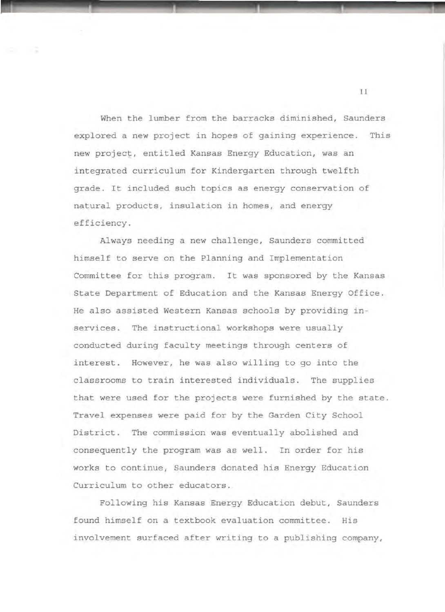When the lumber from the barracks diminished, Saunders explored a new project in hopes of gaining experience. This new project, entitled Kansas Energy Education, was an integrated curriculum for Kindergarten through twelfth grade. It included such topics as energy conservation of natural products, insulation in homes, and energy efficiency.

 $\blacksquare$ 

Always needing a new challenge, Saunders committed himself to serve on the Planning and Implementation Committee for this program. It was sponsored by the Kansas State Department of Education and the Kansas Energy Office. He also assisted Western Kansas schools by providing inservices. The instructional workshops were usually conducted during faculty meetings through centers of interest. However, he was also willing to go into the classrooms to train interested individuals. The supplies that were used for the projects were furnished by the state. Travel expenses were paid for by the Garden City School District. The commission was eventually abolished and consequently the program was as well . In order for his works to continue, Saunders donated his Energy Education Curriculum to other educators.

Following his Kansas Energy Education debut, Saunders found himself on a textbook evaluation committee. His involvement surfaced after writing to a publishing company,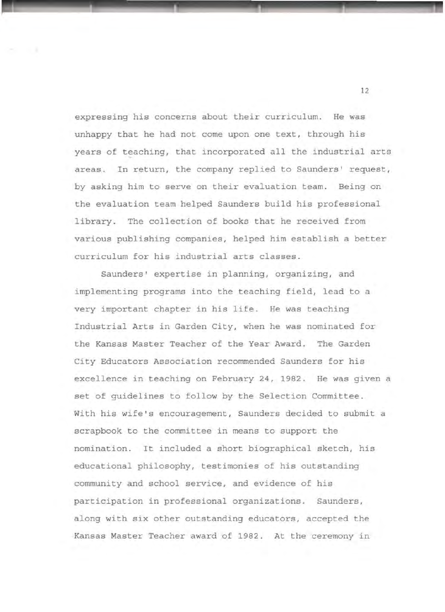expressing his concerns about their curriculum. He was unhappy that he had not come upon one text, through his years of teaching, that incorporated all the industrial arts areas. In return, the company replied to Saunders' request, by asking him to serve on their evaluation team. Being on the evaluation team helped Saunders build his professional library. The collection of books that he received from various publishing companies, helped him establish a better curriculum for his industrial arts classes.

. ...\_\_....\_\_\_\_. \_\_\_\_ ,\_\_\_\_.\_\_\_\_\_., \_\_

Saunders' expertise in planning, organizing, and implementing programs into the teaching field, lead to a very important chapter in his life. He was teaching Industrial Arts in Garden City, when he was nominated for the Kansas Master Teacher of the Year Award. The Garden City Educators Association recommended Saunders for his excellence in teaching on February 24, 1982. He was given a set of guidelines to follow by the Selection Committee. With his wife's encouragement, Saunders decided to submit a scrapbook to the committee in means to support the nomination. It included a short biographical sketch, his educational philosophy, testimonies of his outstanding community and school service, and evidence of his participation in professional organizations. Saunders, along with six other outstanding educators, accepted the Kansas Master Teacher award of 1982. At the ceremony in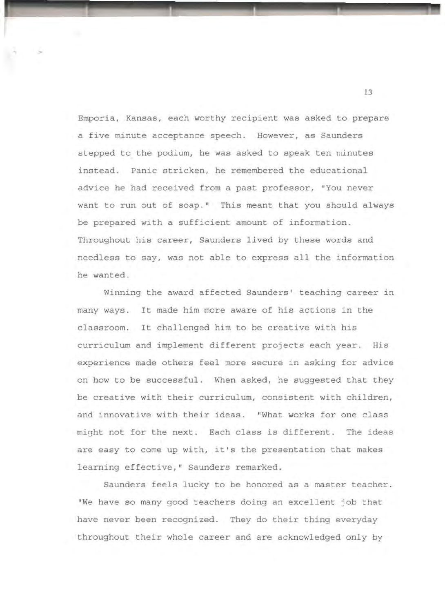Emporia, Kansas, each worthy recipient was asked to prepare a five minute acceptance speech. However, as Saunders stepped to the podium, he was asked to speak ten minutes instead. Panic stricken, he remembered the educational advice he had received from a past professor, "You never want to run out of soap." This meant that you should always be prepared with a sufficient amount of information. Throughout his career, Saunders lived by these words and needless to say, was not able to express all the information he wanted.

Winning the award affected Saunders' teaching career in many ways. It made him more aware of his actions in the classroom. It challenged him to be creative with his curriculum and implement different projects each year. His experience made others feel more secure in asking for advice on how to be successful. When asked, he suggested that they be creative with their curriculum, consistent with children, and innovative with their ideas. "What works for one class might not for the next. Each class is different. The ideas are easy to come up with, it's the presentation that makes learning effective," Saunders remarked.

Saunders feels lucky to be honored as a master teacher. "We have so many good teachers doing an excellent job that have never been recognized. They do their thing everyday throughout their whole career and are acknowledged only by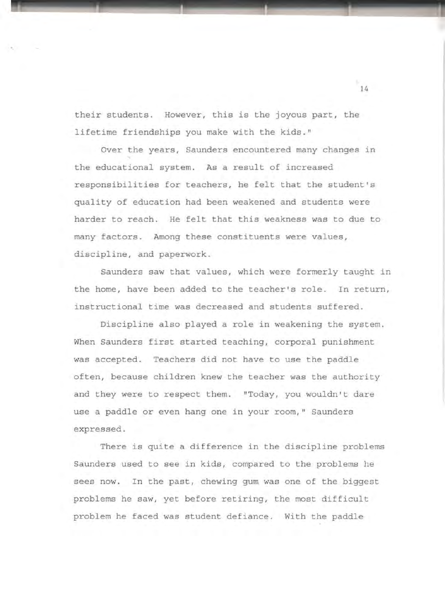their students. However, this is the joyous part, the lifetime friendships you make with the kids."

Over the years, Saunders encountered many changes in the educational system. As a result of increased responsibilities for teachers, he felt that the student's quality of education had been weakened and students were harder to reach. He felt that this weakness was to due to many factors. Among these constituents were values, discipline, and paperwork.

Saunders saw that values, which were formerly taught in the home, have been added to the teacher's role. In return, instructional time was decreased and students suffered.

Discipline also played a role in weakening the system. When Saunders first started teaching, corporal punishment was accepted. Teachers did not have to use the paddle often, because children knew the teacher was the authority and they were to respect them. "Today, you wouldn't dare use a paddle or even hang one in your room," Saunders expressed.

There is quite a difference in the discipline problems Saunders used to see in kids, compared to the problems he sees now. In the past, chewing gum was one of the biggest problems he saw, yet before retiring, the most difficult problem he faced was student defiance . With the paddle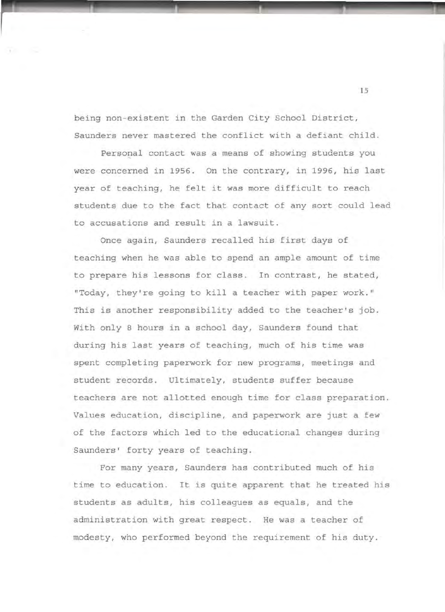being non-existent in the Garden City School District, Saunders never mastered the conflict with a defiant child.

Personal contact was a means of showing students you were concerned in 1956. On the contrary, in 1996, his last year of teaching, he felt it was more difficult to reach students due to the fact that contact of any sort could lead to accusations and result in a lawsuit.

Once again, Saunders recalled his first days of teaching when he was able to spend an ample amount of time to prepare his lessons for class. In contrast, he stated, "Today, they're going to kill a teacher with paper work." This is another responsibility added to the teacher's job. With only 8 hours in a school day, Saunders found that during his last years of teaching, much of his time was spent completing paperwork for new programs, meetings and student records. Ultimately, students suffer because teachers are not allotted enough time for class preparation. Values education, discipline, and paperwork are just a few of the factors which led to the educational changes during Saunders' forty years of teaching.

For many years, Saunders has contributed much of his time to education. It is quite apparent that he treated his students as adults, his colleagues as equals, and the administration with great respect. He was a teacher of modesty, who performed beyond the requirement of his duty .